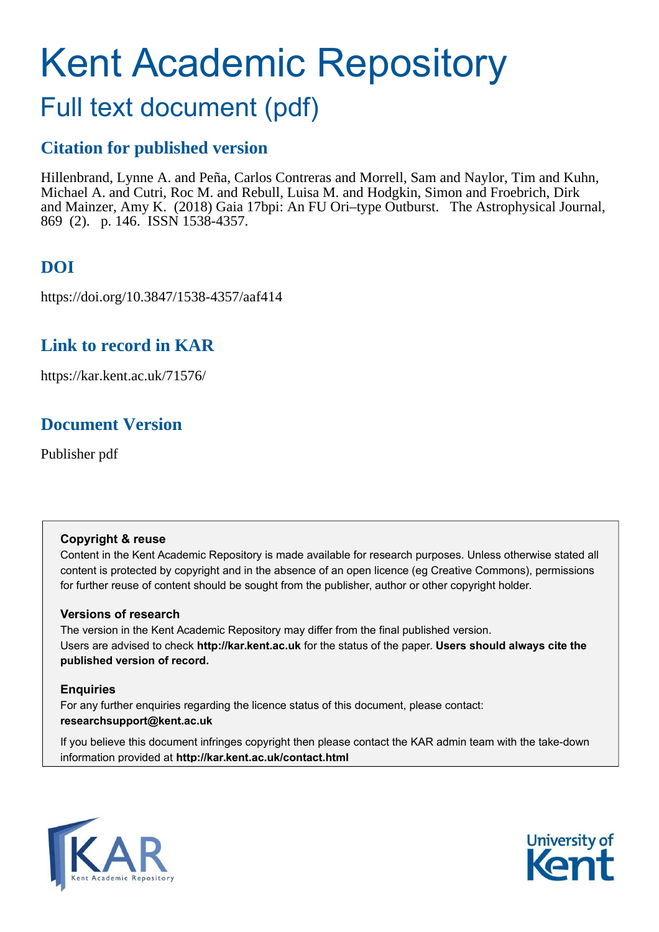# <span id="page-0-0"></span>Kent Academic Repository

# Full text document (pdf)

### **Citation for published version**

Hillenbrand, Lynne A. and Peña, Carlos Contreras and Morrell, Sam and Naylor, Tim and Kuhn, Michael A. and Cutri, Roc M. and Rebull, Luisa M. and Hodgkin, Simon and Froebrich, Dirk and Mainzer, Amy K. (2018) Gaia 17bpi: An FU Ori–type Outburst. The Astrophysical Journal, 869 (2). p. 146. ISSN 1538-4357.

# **DOI**

https://doi.org/10.3847/1538-4357/aaf414

# **Link to record in KAR**

https://kar.kent.ac.uk/71576/

# **Document Version**

Publisher pdf

#### **Copyright & reuse**

Content in the Kent Academic Repository is made available for research purposes. Unless otherwise stated all content is protected by copyright and in the absence of an open licence (eg Creative Commons), permissions for further reuse of content should be sought from the publisher, author or other copyright holder.

#### **Versions of research**

The version in the Kent Academic Repository may differ from the final published version. Users are advised to check **http://kar.kent.ac.uk** for the status of the paper. **Users should always cite the published version of record.**

#### **Enquiries**

For any further enquiries regarding the licence status of this document, please contact: **researchsupport@kent.ac.uk**

If you believe this document infringes copyright then please contact the KAR admin team with the take-down information provided at **http://kar.kent.ac.uk/contact.html**



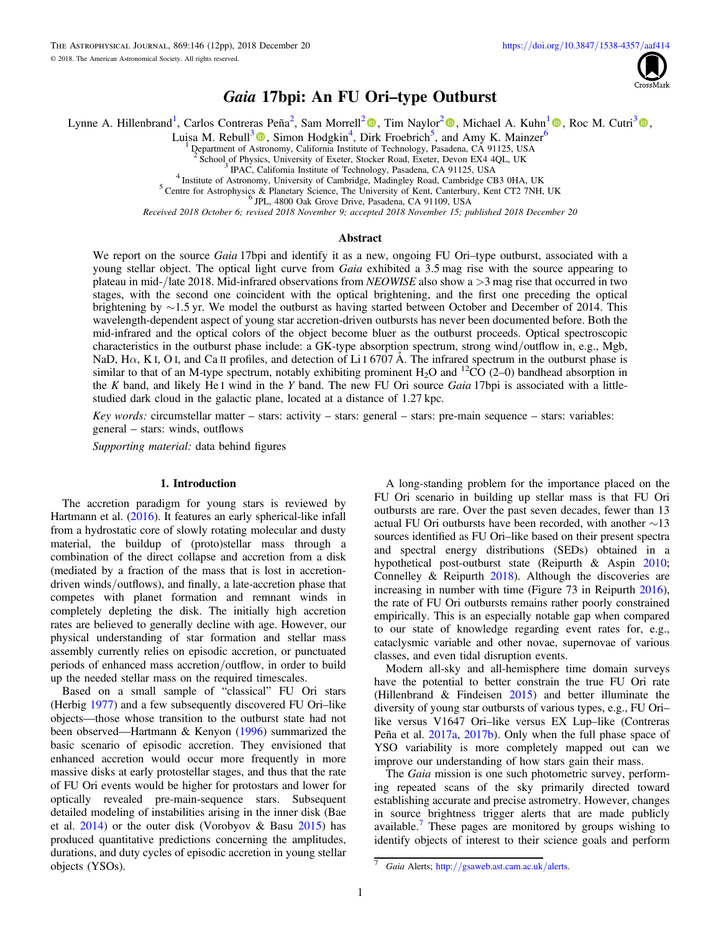

#### Gaia 17bpi: An FU Ori–type Outburst

<span id="page-1-0"></span>Lynne A. Hillenbrand<sup>[1](#page-0-0)</sup>, Carlos Contreras Peña<sup>[2](#page-0-0)</sup>[,](https://orcid.org/0000-0002-0077-2305) Sam Morrell<sup>2</sup><sup>®</sup>, Tim Naylor<sup>2</sup>®, Michael A. Kuhn<sup>1</sup>®, Roc M. Cutri<sup>[3](#page-0-0)</sup>®,

Luisa M. Rebull<sup>[3](#page-0-0)</sup><sup>®</sup>, Simon Hodgkin<sup>[4](#page-0-0)</sup>, Dirk Froebrich<sup>[5](#page-0-0)</sup>, and Amy K. Mainzer<sup>[6](#page-0-0)</sup>

<sup>1</sup> Department of [Astro](https://orcid.org/0000-0001-6381-515X)nomy, California Institute of Technology, Pasadena, CA 91125, USA

 $\frac{2}{3}$  School of Physics, University of Exeter, Stocker Road, Exeter, Devon EX4 4QL, UK<br> $\frac{3}{3}$  DAC Colifornic Institute of Technology, Peesdone, CA 01125, USA

IPAC, California Institute of Technology, Pasadena, CA 91125, USA

4 Institute of Astronomy, University of Cambridge, Madingley Road, Cambridge CB3 0HA, UK

<sup>5</sup> Centre for Astrophysics & Planetary Science, The University of Kent, Canterbury, Kent CT2 7NH, UK JPL, 4800 Oak Grove Drive, Pasadena, CA 91109, USA

*Received 2018 October 6; revised 2018 November 9; accepted 2018 November 15; published 2018 December 20*

#### Abstract

We report on the source *Gaia* 17bpi and identify it as a new, ongoing FU Ori–type outburst, associated with a young stellar object. The optical light curve from *Gaia* exhibited a 3.5 mag rise with the source appearing to plateau in mid-/late 2018. Mid-infrared observations from *NEOWISE* also show a >3 mag rise that occurred in two stages, with the second one coincident with the optical brightening, and the first one preceding the optical brightening by ∼1.5 yr. We model the outburst as having started between October and December of 2014. This wavelength-dependent aspect of young star accretion-driven outbursts has never been documented before. Both the mid-infrared and the optical colors of the object become bluer as the outburst proceeds. Optical spectroscopic characteristics in the outburst phase include: a GK-type absorption spectrum, strong wind/outflow in, e.g., Mgb, NaD, H $\alpha$ , K I, O I, and Ca II profiles, and detection of Li I 6707 Å. The infrared spectrum in the outburst phase is similar to that of an M-type spectrum, notably exhibiting prominent  $H_2O$  and  ${}^{12}CO$  (2–0) bandhead absorption in the *K* band, and likely He I wind in the *Y* band. The new FU Ori source *Gaia* 17bpi is associated with a littlestudied dark cloud in the galactic plane, located at a distance of 1.27 kpc.

*Key words:* circumstellar matter – stars: activity – stars: general – stars: pre-main sequence – stars: variables: general – stars: winds, outflows

*Supporting material:* data behind figures

#### 1. Introduction

The accretion paradigm for young stars is reviewed by Hartmann et al. ([2016](#page-11-0)). It features an early spherical-like infall from a hydrostatic core of slowly rotating molecular and dusty material, the buildup of (proto)stellar mass through a combination of the direct collapse and accretion from a disk (mediated by a fraction of the mass that is lost in accretiondriven winds/outflows), and finally, a late-accretion phase that competes with planet formation and remnant winds in completely depleting the disk. The initially high accretion rates are believed to generally decline with age. However, our physical understanding of star formation and stellar mass assembly currently relies on episodic accretion, or punctuated periods of enhanced mass accretion/outflow, in order to build up the needed stellar mass on the required timescales.

Based on a small sample of "classical" FU Ori stars (Herbig [1977](#page-11-0)) and a few subsequently discovered FU Ori–like objects—those whose transition to the outburst state had not been observed—Hartmann & Kenyon ([1996](#page-11-0)) summarized the basic scenario of episodic accretion. They envisioned that enhanced accretion would occur more frequently in more massive disks at early protostellar stages, and thus that the rate of FU Ori events would be higher for protostars and lower for optically revealed pre-main-sequence stars. Subsequent detailed modeling of instabilities arising in the inner disk (Bae et al.  $2014$ ) or the outer disk (Vorobyov & Basu [2015](#page-11-0)) has produced quantitative predictions concerning the amplitudes, durations, and duty cycles of episodic accretion in young stellar objects (YSOs).

A long-standing problem for the importance placed on the FU Ori scenario in building up stellar mass is that FU Ori outbursts are rare. Over the past seven decades, fewer than 13 actual FU Ori outbursts have been recorded, with another ∼13 sources identified as FU Ori–like based on their present spectra and spectral energy distributions (SEDs) obtained in a hypothetical post-outburst state (Reipurth & Aspin [2010](#page-11-0); Connelley & Reipurth [2018](#page-11-0)). Although the discoveries are increasing in number with time (Figure 73 in Reipurth [2016](#page-11-0)), the rate of FU Ori outbursts remains rather poorly constrained empirically. This is an especially notable gap when compared to our state of knowledge regarding event rates for, e.g., cataclysmic variable and other novae, supernovae of various classes, and even tidal disruption events.

Modern all-sky and all-hemisphere time domain surveys have the potential to better constrain the true FU Ori rate (Hillenbrand  $\&$  Findeisen [2015](#page-11-0)) and better illuminate the diversity of young star outbursts of various types, e.g., FU Ori– like versus V1647 Ori–like versus EX Lup–like (Contreras Peña et al. [2017a](#page-11-0), [2017b](#page-11-0)). Only when the full phase space of YSO variability is more completely mapped out can we improve our understanding of how stars gain their mass.

The *Gaia* mission is one such photometric survey, performing repeated scans of the sky primarily directed toward establishing accurate and precise astrometry. However, changes in source brightness trigger alerts that are made publicly available.<sup>[7](#page-0-0)</sup> These pages are monitored by groups wishing to identify objects of interest to their science goals and perform

Gaia Alerts; http://[gsaweb.ast.cam.ac.uk](http://gsaweb.ast.cam.ac.uk/alerts)/alerts.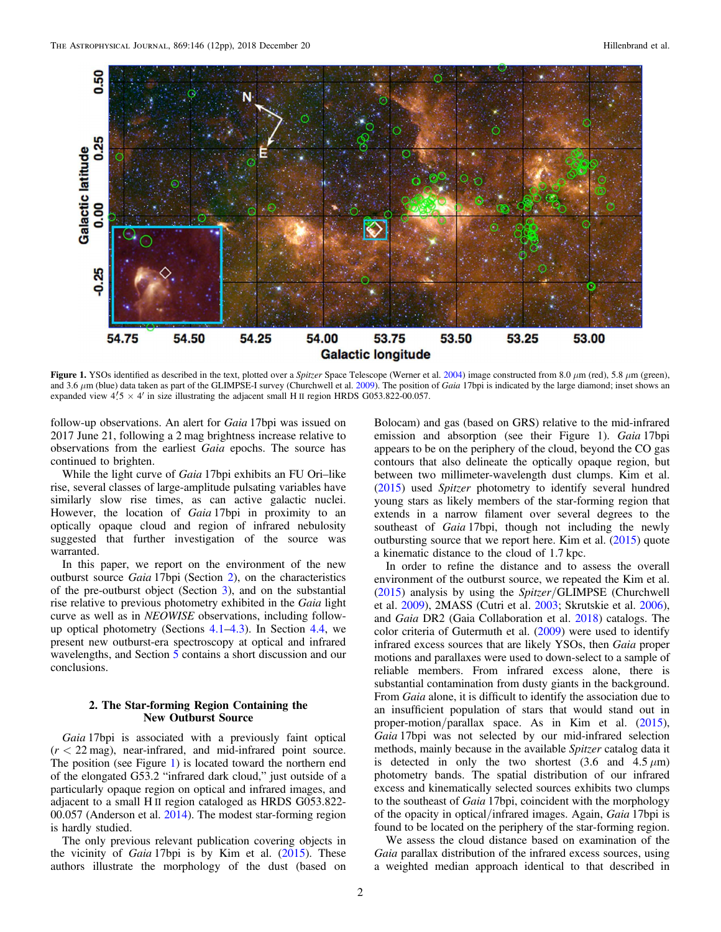<span id="page-2-0"></span>

Figure 1. YSOs identified as described in the text, plotted over a *Spitzer* Space Telescope (Werner et al. [2004](#page-11-0)) image constructed from 8.0 μm (red), 5.8 μm (green), and 3.6 μm (blue) data taken as part of the GLIMPSE-I survey (Churchwell et al. [2009](#page-11-0)). The position of *Gaia* 17bpi is indicated by the large diamond; inset shows an expanded view  $4'$ , 5  $\times$  4' in size illustrating the adjacent small H II region HRDS G053.822-00.057.

follow-up observations. An alert for *Gaia* 17bpi was issued on 2017 June 21, following a 2 mag brightness increase relative to observations from the earliest *Gaia* epochs. The source has continued to brighten.

While the light curve of *Gaia* 17bpi exhibits an FU Ori–like rise, several classes of large-amplitude pulsating variables have similarly slow rise times, as can active galactic nuclei. However, the location of *Gaia* 17bpi in proximity to an optically opaque cloud and region of infrared nebulosity suggested that further investigation of the source was warranted.

In this paper, we report on the environment of the new outburst source *Gaia* 17bpi (Section [2](#page-1-0)), on the characteristics of the pre-outburst object (Section 3), and on the substantial rise relative to previous photometry exhibited in the *Gaia* light curve as well as in *NEOWISE* observations, including followup optical photometry (Sections [4.1](#page-3-0)–[4.3](#page-6-0)). In Section [4.4,](#page-8-0) we present new outburst-era spectroscopy at optical and infrared wavelengths, and Section [5](#page-9-0) contains a short discussion and our conclusions.

#### 2. The Star-forming Region Containing the New Outburst Source

*Gaia* 17bpi is associated with a previously faint optical  $(r < 22 \text{ mag})$ , near-infrared, and mid-infrared point source. The position (see Figure [1](#page-1-0)) is located toward the northern end of the elongated G53.2 "infrared dark cloud," just outside of a particularly opaque region on optical and infrared images, and adjacent to a small H II region cataloged as HRDS G053.822- 00.057 (Anderson et al. [2014](#page-11-0)). The modest star-forming region is hardly studied[.](#page-1-0)

The only previous relevant publication covering objects in the vicinity of *Gaia* 17bpi is by Kim et al. ([2015](#page-11-0)). These authors illustrate the morphology of the dust (based on

Bolocam) and gas (based on GRS) relative to the mid-infrared emission and absorption (see their Figure 1). *Gaia* 17bpi appears to be on the periphery of the cloud, beyond the CO gas contours that also delineate the optically opaque region, but between two millimeter-wavelength dust clumps. Kim et al. ([2015](#page-11-0)) used *Spitzer* photometry to identify several hundred young stars as likely members of the star-forming region that extends in a narrow filament over several degrees to the southeast of *Gaia* 17bpi, though not including the newly outbursting source that we report here. Kim et al. ([2015](#page-11-0)) quote a kinematic distance to the cloud of 1.7 kpc.

In order to refine the distance and to assess the overall environment of the outburst source, we repeated the Kim et al. ([2015](#page-11-0)) analysis by using the *Spitzer*/GLIMPSE (Churchwell et al. [2009](#page-11-0)), 2MASS (Cutri et al. [2003](#page-11-0); Skrutskie et al. [2006](#page-11-0)), and *Gaia* DR2 (Gaia Collaboration et al. [2018](#page-11-0)) catalogs. The color criteria of Gutermuth et al. ([2009](#page-11-0)) were used to identify infrared excess sources that are likely YSOs, then *Gaia* proper motions and parallaxes were used to down-select to a sample of reliable members. From infrared excess alone, there is substantial contamination from dusty giants in the background. From *Gaia* alone, it is difficult to identify the association due to an insufficient population of stars that would stand out in proper-motion/parallax space. As in Kim et al. ([2015](#page-11-0)), *Gaia* 17bpi was not selected by our mid-infrared selection methods, mainly because in the available *Spitzer* catalog data it is detected in only the two shortest  $(3.6 \text{ and } 4.5 \mu \text{m})$ photometry bands. The spatial distribution of our infrared excess and kinematically selected sources exhibits two clumps to the southeast of *Gaia* 17bpi, coincident with the morphology of the opacity in optical/infrared images. Again, *Gaia* 17bpi is found to be located on the periphery of the star-forming region.

We assess the cloud distance based on examination of the *Gaia* parallax distribution of the infrared excess sources, using a weighted median approach identical to that described in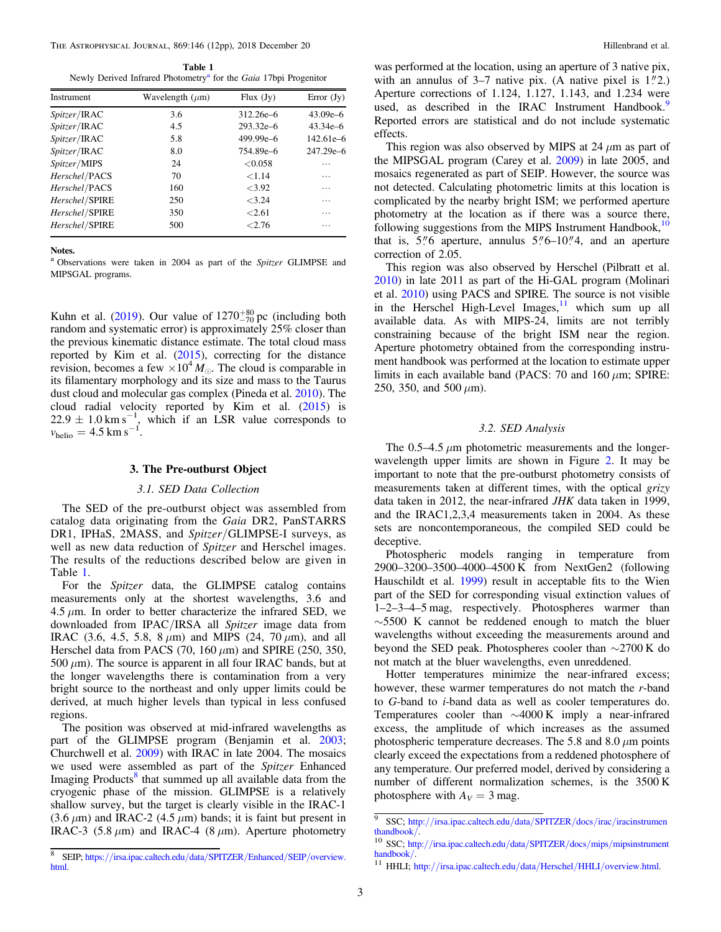<span id="page-3-0"></span>THE ASTROPHYSICAL JOURNAL, 869:146 (12pp), 2018 December 20 Hillenbrand et al.

Table 1 Newly Derived Infrared Photometry<sup>a</sup> for the *Gaia* 17bpi Progenitor

| Instrument           | Wavelength $(\mu m)$ | Flux $(Jy)$   | Error $(Jy)$  |
|----------------------|----------------------|---------------|---------------|
| <i>Spitzer</i> /IRAC | 3.6                  | 312.26e-6     | $43.09e - 6$  |
| Spitzer/IRAC         | 4.5                  | $293.32e - 6$ | $43.34e - 6$  |
| Spitzer/IRAC         | 5.8                  | 499.99e-6     | $142.61e - 6$ |
| Spitzer/IRAC         | 8.0                  | 754.89e-6     | $247.29e - 6$ |
| Spitzer/MIPS         | 24                   | < 0.058       | .             |
| Herschel/PACS        | 70                   | < 1.14        | .             |
| Herschel/PACS        | 160                  | <3.92         | .             |
| Herschel/SPIRE       | 250                  | < 3.24        | .             |
| Herschel/SPIRE       | 350                  | < 2.61        | .             |
| Herschel/SPIRE       | 500                  | < 2.76        | .             |

Notes.

<sup>a</sup> Observations were taken in 2004 as part of the *Spitzer* GLIMPSE and MIPSGAL programs.

Kuhn et al. ([2019](#page-11-0)). Our value of  $1270^{+80}_{-70}$  pc (including both random and systematic error) is approximately 25% closer than the previous kinematic distance estimate. The total cloud mass reported by Kim et al. ([2015](#page-11-0)), correcting for the distance revision, becomes a few  $\times 10^4 M_{\odot}$ . The cloud is comparable in its filamentary morphology and its size and mass to the Taurus dust cloud and molecular gas complex (Pineda et al. [2010](#page-11-0)). The cloud radial velocity reported by Kim et al.  $(2015)$  $(2015)$  $(2015)$  is  $22.9 \pm 1.0 \text{ km s}^{-1}$ , which if an LSR value corresponds to  $v_{\text{helio}} = 4.5 \text{ km s}^{-1}$ .

#### 3. The Pre-outburst Object

#### *3.1. SED Data Collection*

The SED of the pre-outburst object was assembled from catalog data originating from the *Gaia* DR2, PanSTARRS DR1, IPHaS, 2MASS, and *Spitzer*/GLIMPSE-I surveys, as well as new data reduction of *Spitzer* and Herschel images. The results of the reductions described below are given in Table [1.](#page-2-0)

For the *Spitzer* data, the GLIMPSE catalog contains measurements only at the shortest wavelengths, 3.6 and  $4.5 \mu$ m. In order to better characterize the infrared SED, we downloaded from IPAC/IRSA all *Spitzer* image data from IRAC (3.6, 4.5, 5.8, 8 μm) and MIPS (24, 70 μm), and all Herschel data from PACS (70, 160  $\mu$ m) and SPIRE (250, 350,  $500 \mu m$ ). The source is apparent in all four IRAC bands, but at the longer wavelengths there is contamination from a very bright source to the northeast and only upper limits could be derived, at much higher levels than typical in less confused regions.

The position was observed at mid-infrared wavelengths as part of the GLIMPSE program (Benjamin et al. [2003](#page-11-0); Churchwell et al. [2009](#page-11-0)) with IRAC in late 2004. The mosaics we used were assembled as part of the *Spitzer* Enhanced Imaging Products<sup>[8](#page-2-0)</sup> that summed up all available data from the cryogenic phase of the mission. GLIMPSE is a relatively shallow survey, but the target is clearly visible in the IRAC-1  $(3.6 \,\mu\text{m})$  and IRAC-2  $(4.5 \,\mu\text{m})$  bands; it is faint but present in IRAC-3 (5.8  $\mu$ m) and IRAC-4 (8  $\mu$ m). Aperture photometry

was performed at the location, using an aperture of 3 native pix, with an annulus of  $3-7$  native pix. (A native pixel is  $1''2$ .) Aperture corrections of 1.124, 1.127, 1.143, and 1.234 were used, as described in the IRAC Instrument Handbook.<sup>[9](#page-2-0)</sup> Reported errors are statistical and do not include systematic effects.

This region was also observed by MIPS at 24  $\mu$ m as part of the MIPSGAL program (Carey et al. [2009](#page-11-0)) in late 2005, and mosaics regenerated as part of SEIP. However, the source was not detected. Calculating photometric limits at this location is complicated by the nearby bright ISM; we performed aperture photometry at the location as if there was a source there, following suggestions from the MIPS Instrument Handbook, $10$ that is,  $5\%$  aperture, annulus  $5\%$ –10 $\%$ 4, and an aperture correction of 2.05.

This region was also observed by Herschel (Pilbratt et al. [2010](#page-11-0)) in late 2011 as part of the Hi-GAL program (Molinari et al. [2010](#page-11-0)) using PACS and SPIRE. The source is not visible in the Herschel High-Level Images,  $\frac{11}{1}$  $\frac{11}{1}$  $\frac{11}{1}$  which sum up all available data. As with MIPS-24, limits are not terribly constraining because of the bright ISM near the region. Aperture photometry obtained from the corresponding instrument handbook was performed at the location to estimate upper limits in each available band (PACS: 70 and 160  $\mu$ m; SPIRE: 250, 350, and 500  $\mu$ m).

#### *3.2. SED Analysis*

The  $0.5-4.5 \mu m$  photometric measurements and the longerwavelength upper limits are shown in Figure 2. It may be important to note that the pre-outburst photometry consists of measurements taken at different times, with the optical *grizy* data taken in 2012, the near-infrared *JHK* data taken in 1999, and the IRAC1,2,3,4 measurements taken in 2004. As these sets are noncontemporaneous, the compiled SED could be deceptive.

Photospheric models ranging in temperature from 2900–3200–3500–4000–4500 K from NextGen2 (following Hauschildt et al. [1999](#page-11-0)) result in acceptable fits to the Wien part of the SED for corresponding visual extinction values of 1–2–3–4–5 mag, respectively. Photospheres warmer than ∼5500 K cannot be reddened enough to match the bluer wavelengths without exceeding the measurements around and beyond the SED peak. Photospheres cooler than ∼2700 K do not match at the bluer wavelengths, even unreddened.

Hotter temperatures minimize the near-infrared excess; however, these warmer temperatures do not match the *r*-band to *G*-band to *i*-band data as well as cooler temperatures do. Temperatures cooler than ∼4000 K imply a near-infrared excess, the amplitude of which increases as the assumed photospheric temperature decreases. The 5.8 and 8.0  $\mu$ m points clearly exceed the expectations from a reddened photosphere of any temperature. Our preferred model, derived by considering a number of different normalization schemes, is the 3500 K photosphere with  $A_V = 3$  mag.

<sup>&</sup>lt;sup>9</sup> SSC; http://[irsa.ipac.caltech.edu](http://irsa.ipac.caltech.edu/data/SPITZER/docs/irac/iracinstrumenthandbook/)/data/SPITZER/docs/irac/iracinstrumen [thandbook](http://irsa.ipac.caltech.edu/data/SPITZER/docs/irac/iracinstrumenthandbook/)/.

<sup>10</sup> SSC; http://[irsa.ipac.caltech.edu](http://irsa.ipac.caltech.edu/data/SPITZER/docs/mips/mipsinstrumenthandbook/)/data/SPITZER/docs/mips/mipsinstrument [handbook](http://irsa.ipac.caltech.edu/data/SPITZER/docs/mips/mipsinstrumenthandbook/)/.

<sup>11</sup> HHLI; http://[irsa.ipac.caltech.edu](http://irsa.ipac.caltech.edu/data/Herschel/HHLI/overview.html)/data/Herschel/HHLI/overview.html.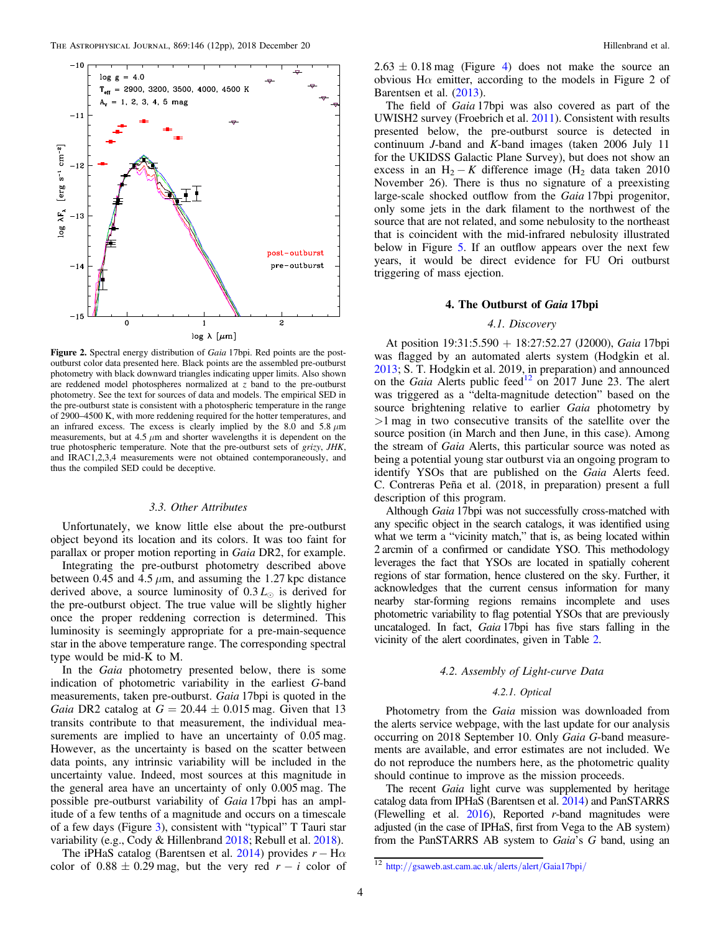<span id="page-4-0"></span>

Figure 2. Spectral energy distribution of *Gaia* 17bpi. Red points are the postoutburst color data presented here. Black points are the assembled pre-outburst photometry with black downward triangles indicating upper limits. Also shown are reddened model photospheres normalized at *z* band to the pre-outburst photometry. See the text for sources of data and models. The empirical SED in the pre-outburst state is consistent with a photospheric temperature in the range of 2900–4500 K, with more reddening required for the hotter temperatures, and an infrared excess. The excess is clearly implied by the 8.0 and 5.8  $\mu$ m measurements, but at 4.5  $\mu$ m and shorter wavelengths it is dependent on the true photospheric temperature. Note that the pre-outburst sets of *grizy*, *JHK*, and IRAC1,2,3,4 measurements were not obtained contemporaneously, and thus the compiled SED could be deceptive.

#### *3.3. Other Attributes*

Unfortunately, we know little else about the pre-outburst object beyond its location and its colors. It was too faint for parallax or proper motion reporting in *Gaia* DR2, for example.

Integrating the pre-outburst photometry described above between 0.45 and 4.5  $\mu$ m, and assuming the 1.27 kpc distance derived above, a source luminosity of  $0.3 L_{\odot}$  is derived for the pre-outburst object. The true value will be slightly higher once the proper reddening correction is determined. This luminosity is seemingly appropriate for a pre-main-sequence star in the above temperature range. The corresponding spectral type would be mid-K to M.

In the *Gaia* photometry presented below, there is some indication of photometric variability in the earliest *G*-band measurements, taken pre-outburst. *Gaia* 17bpi is quoted in the *Gaia* DR2 catalog at  $G = 20.44 \pm 0.015$  mag. Given that 13 transits contribute to that measurement, the individual measurements are implied to have an uncertainty of  $0.05$  mag. However, as the uncertainty is based on the scatter between data points, any intrinsic variability will be included in the uncertainty value. Indeed, most sources at this magnitude in the general area have an uncertainty of only 0.005 mag. The possible pre-outburst variability of *Gaia* 17bpi has an amplitude of a few tenths of a magnitude and occurs on a timescale of a few days (Figure 3), consistent with "typical" T Tauri star variability (e.g., Cody & Hillenbrand [2018](#page-11-0); Rebull et al. [2018](#page-11-0))[.](#page-5-0)

The iPHaS catalog (Barentsen et al. [2014](#page-11-0)) provides  $r - H\alpha$ color of  $0.88 \pm 0.29$  mag, but the very red  $r - i$  color of  $2.63 \pm 0.18$  mag (Figure [4](#page-5-0)) does not make the source an obvious Hα emitter, according to the models in Figure 2 of Barentsen et al. ([2013](#page-11-0)).

The field of *Gaia* 17bpi was also covered as part of the UWISH2 survey (Froebrich et al. [2011](#page-11-0)). Consistent with results presented below, the pre-outburst source is detected in continuum *J*-band and *K*-band images (taken 2006 July 11 for the UKIDSS Galactic Plane Survey), but does not show an excess in an H<sub>2</sub> − *K* difference image (H<sub>2</sub> data taken 2010 November 26). There is thus no signature of a preexisting large-scale shocked outflow from the *Gaia* 17bpi progenitor, only some jets in the dark filament to the northwest of the source that are not related, and some nebulosity to the northeast that is coincident with the mid-infrared nebulosity illustrated below in Figure [5.](#page-6-0) If an outflow appears over the next few years, it would be direct evidence for FU Ori outburst triggering of mass ejection.

#### 4. The Outburst of Gaia 17bpi

#### *4.1. Discovery*

At position 19:31:5.590 + 18:27:52.27 (J2000), *Gaia* 17bpi was flagged by an automated alerts system (Hodgkin et al. [2013;](#page-11-0) S. T. Hodgkin et al. 2019, in preparation) and announced on the *Gaia* Alerts public feed<sup>[12](#page-3-0)</sup> on 2017 June 23. The alert was triggered as a "delta-magnitude detection" based on the source brightening relative to earlier *Gaia* photometry by >1 mag in two consecutive transits of the satellite over the source position (in March and then June, in this case). Among the stream of *Gaia* Alerts, this particular source was noted as being a potential young star outburst via an ongoing program to identify YSOs that are published on the *Gaia* Alerts feed. C. Contreras Peña et al. (2018, in preparation) present a full description of this program.

Although *Gaia* 17bpi was not successfully cross-matched with any specific object in the search catalogs, it was identified using what we term a "vicinity match," that is, as being located within 2 arcmin of a confirmed or candidate YSO. This methodology leverages the fact that YSOs are located in spatially coherent regions of star formation, hence clustered on the sky. Further, it acknowledges that the current census information for many nearby star-forming regions remains incomplete and uses photometric variability to flag potential YSOs that are previously uncataloged. In fact, *Gaia* 17bpi has five stars falling in the vicinity of the alert coordinates, given in Table 2.

#### *4.2. Assembly of Light-curve Data*

#### *4.2.1. Optical*

Photometry from the *Gaia* mission was downloaded from the alerts service webpage, with the last update for our analysis occurring on 2018 September 10. Only *Gaia G*-band measurements are available, and error estimates are not included. We do not reproduce the numbers here, as the photometric quality should continue to improve as the mission proceeds.

The recent *Gaia* light curve was supplemented by heritage catalog data from IPHaS (Barentsen et al. [2014](#page-11-0)) and PanSTARRS (Flewelling et al. [2016](#page-11-0)), Reported *r*-band magnitudes were adjusted (in the case of IPHaS, first from Vega to the AB system) from the PanSTARRS AB system to *Gaia*'s *G* band, using an

<sup>12</sup> http://[gsaweb.ast.cam.ac.uk](http://gsaweb.ast.cam.ac.uk/alerts/alert/Gaia17bpi/)/alerts/alert/Gaia17bpi/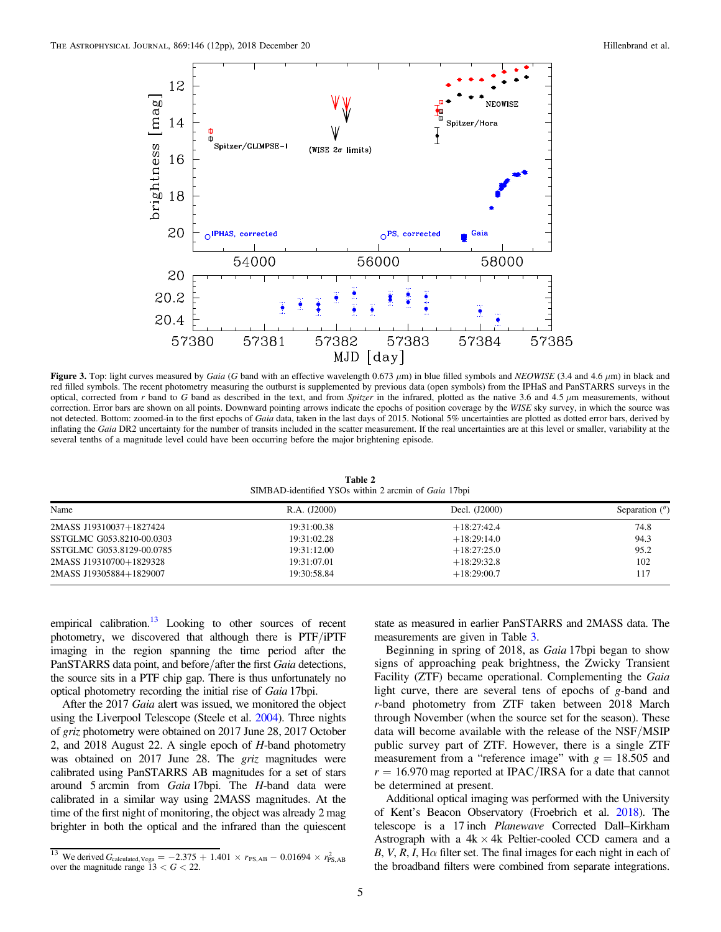<span id="page-5-0"></span>

Figure 3. Top: light curves measured by *Gaia* (*G* band with an effective wavelength 0.673 μm) in blue filled symbols and *NEOWISE* (3.4 and 4.6 μm) in black and red filled symbols. The recent photometry measuring the outburst is supplemented by previous data (open symbols) from the IPHaS and PanSTARRS surveys in the optical, corrected from  $r$  band to  $G$  band as described in the text, and from *Spitzer* in the infrared, plotted as the native 3.6 and 4.5  $\mu$ m measurements, without correction. Error bars are shown on all points. Downward pointing arrows indicate the epochs of position coverage by the *WISE* sky survey, in which the source was not detected. Bottom: zoomed-in to the first epochs of *Gaia* data, taken in the last days of 2015. Notional 5% uncertainties are plotted as dotted error bars, derived by inflating the *Gaia* DR2 uncertainty for the number of transits included in the scatter measurement. If the real uncertainties are at this level or smaller, variability at the several tenths of a magnitude level could have been occurring before the major brightening episode.

Table 2 SIMBAD-identified YSOs within 2 arcmin of *Gaia* 17bpi

| Name                      | R.A. (J2000) | Decl. (J2000) | Separation $($ <i>"</i> ) |
|---------------------------|--------------|---------------|---------------------------|
| 2MASS J19310037+1827424   | 19:31:00.38  | $+18:27:42.4$ | 74.8                      |
| SSTGLMC G053.8210-00.0303 | 19:31:02.28  | $+18:29:14.0$ | 94.3                      |
| SSTGLMC G053.8129-00.0785 | 19:31:12.00  | $+18:27:25.0$ | 95.2                      |
| 2MASS J19310700+1829328   | 19:31:07.01  | $+18:29:32.8$ | 102                       |
| 2MASS J19305884+1829007   | 19:30:58.84  | $+18:29:00.7$ | 117                       |

empirical calibration.<sup>[13](#page-4-0)</sup> Looking to other sources of recent photometry, we discovered that although there is PTF/iPTF imaging in the region spanning the time period after the PanSTARRS data point, and before/after the first *Gaia* detections, the source sits in a PTF chip gap. There is thus unfortunately no optical photometry recording the initial rise of *Gaia* 17bpi.

After the 2017 *Gaia* alert was issued, we monitored the object using the Liverpool Telescope (Steele et al. [2004](#page-11-0)). Three nights of *griz* photometry were obtained on 2017 June 28, 2017 October 2, and 2018 August 22. A single epoch of *H*-band photometry was obtained on 2017 June 28. The *griz* magnitudes were calibrated using PanSTARRS AB magnitudes for a set of stars around 5 arcmin from *Gaia* 17bpi. The *H*-band data were calibrated in a similar way using 2MASS magnitudes. At the time of the first night of monitoring, the object was already 2 mag brighter in both the optical and the infrared than the quiescent

state as measured in earlier PanSTARRS and 2MASS data. The measurements are given in Table [3.](#page-7-0)

Beginning in spring of 2018, as *Gaia* 17bpi began to show signs of approaching peak brightness, the Zwicky Transient Facility (ZTF) became operational. Complementing the *Gaia* light curve, there are several tens of epochs of *g*-band and *r*-band photometry from ZTF taken between 2018 March through November (when the source set for the season). These data will become available with the release of the NSF/MSIP public survey part of ZTF. However, there is a single ZTF measurement from a "reference image" with  $g = 18.505$  and  $r = 16.970$  mag reported at IPAC/IRSA for a date that cannot be determined at present.

Additional optical imaging was performed with the University of Kent's Beacon Observatory (Froebrich et al. [2018](#page-11-0)). The telescope is a 17 inch *Planewave* Corrected Dall–Kirkham Astrograph with a  $4k \times 4k$  Peltier-cooled CCD camera and a  $B, V, R, I$ ,  $H\alpha$  filter set. The final images for each night in each of the broadband filters were combined from separate integrations.

<sup>&</sup>lt;sup>13</sup> We derived  $G_{\text{calculated, Vega}} = -2.375 + 1.401 \times r_{\text{PS,AB}} - 0.01694 \times r_{\text{PS,AB}}^2$ over the magnitude range  $13 < G < 22$ .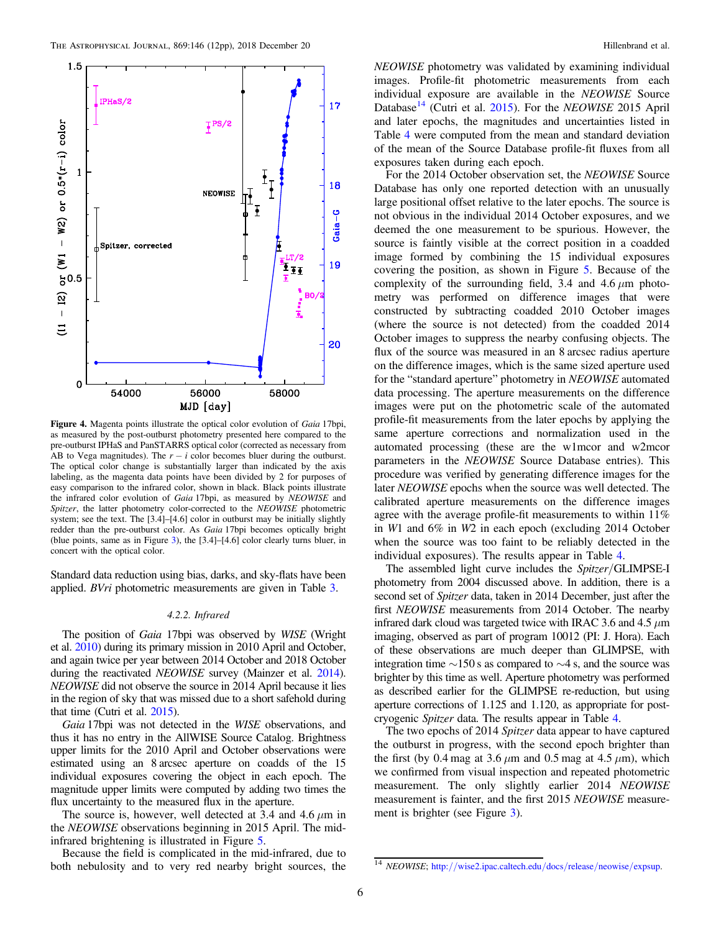<span id="page-6-0"></span>

Figure 4. Magenta points illustrate the optical color evolution of *Gaia* 17bpi, as measured by the post-outburst photometry presented here compared to the pre-outburst IPHaS and PanSTARRS optical color (corrected as necessary from AB to Vega magnitudes). The  $r - i$  color becomes bluer during the outburst. The optical color change is substantially larger than indicated by the axis labeling, as the magenta data points have been divided by 2 for purposes of easy comparison to the infrared color, shown in black. Black points illustrate the infrared color evolution of *Gaia* 17bpi, as measured by *NEOWISE* and *Spitzer*, the latter photometry color-corrected to the *NEOWISE* photometric system; see the text. The [3.4]–[4.6] color in outburst may be initially slightly redder than the pre-outburst color. As *Gaia* 17bpi becomes optically bright (blue points, same as in Figure [3](#page-4-0)), the [3.4]–[4.6] color clearly turns bluer, in concert with the optical color.

Standard data reduction using bias, darks, and sky-flats have been applied. *BVri* photometric measurements are given in Table [3.](#page-7-0)

#### *4.2.2. Infrared*

The position of *Gaia* 17bpi was observed by *WISE* (Wright et al. [2010](#page-11-0)) during its primary mission in 2010 April and October, and again twice per year between 2014 October and 2018 October during the reactivated *NEOWISE* survey (Mainzer et al. [2014](#page-11-0)). *NEOWISE* did not observe the source in 2014 April because it lies in the region of sky that was missed due to a short safehold during that time (Cutri et al. [2015](#page-11-0)).

*Gaia* 17bpi was not detected in the *WISE* observations, and thus it has no entry in the AllWISE Source Catalog. Brightness upper limits for the 2010 April and October observations were estimated using an 8 arcsec aperture on coadds of the 15 individual exposures covering the object in each epoch. The magnitude upper limits were computed by adding two times the flux uncertainty to the measured flux in the aperture.

The source is, however, well detected at 3.4 and 4.6  $\mu$ m in the *NEOWISE* observations beginning in 2015 April. The midinfrared brightening is illustrated in Figure 5.

Because the field is complicated in the mid-infrared, due to both nebulosity and to very red nearby bright sources, the

*NEOWISE* photometry was validated by examining individual images. Profile-fit photometric measurements from each individual exposure are available in the *NEOWISE* Source Database<sup>[14](#page-5-0)</sup> (Cutri et al. [2015](#page-11-0)). For the *NEOWISE* 2015 April and later epochs, the magnitudes and uncertainties listed in Table [4](#page-7-0) were computed from the mean and standard deviation of the mean of the Source Database profile-fit fluxes from all exposures taken during each epoch.

For the 2014 October observation set, the *NEOWISE* Source Database has only one reported detection with an unusually large positional offset relative to the later epochs. The source is not obvious in the individual 2014 October exposures, and we deemed the one measurement to be spurious. However, the source is faintly visible at the correct position in a coadded image formed by combining the 15 individual exposures covering the position, as shown in Figure 5. Because of the complexity of the surrounding field, 3.4 and 4.6  $\mu$ m photometry was performed on difference images that were constructed by subtracting coadded 2010 October images (where the source is not detected) from the coadded 2014 October images to suppress the nearby confusing objects. The flux of the source was measured in an 8 arcsec radius aperture on the difference images, which is the same sized aperture used for the "standard aperture" photometry in *NEOWISE* automated data processing. The aperture measurements on the difference images were put on the photometric scale of the automated profile-fit measurements from the later epochs by applying the same aperture corrections and normalization used in the automated processing (these are the w1mcor and w2mcor parameters in the *NEOWISE* Source Database entries). This procedure was verified by generating difference images for the later *NEOWISE* epochs when the source was well detected. The calibrated aperture measurements on the difference images agree with the average profile-fit measurements to within 11% in *W*1 and 6% in *W*2 in each epoch (excluding 2014 October when the source was too faint to be reliably detected in the individual exposures). The results appear in Table [4.](#page-7-0)

The assembled light curve includes the *Spitzer*/GLIMPSE-I photometry from 2004 discussed above. In addition, there is a second set of *Spitzer* data, taken in 2014 December, just after the first *NEOWISE* measurements from 2014 October. The nearby infrared dark cloud was targeted twice with IRAC 3.6 and 4.5  $\mu$ m imaging, observed as part of program 10012 (PI: J. Hora). Each of these observations are much deeper than GLIMPSE, with integration time ∼150 s as compared to ∼4 s, and the source was brighter by this time as well. Aperture photometry was performed as described earlier for the GLIMPSE re-reduction, but using aperture corrections of 1.125 and 1.120, as appropriate for postcryogenic *Spitzer* data. The results appear in Table [4](#page-7-0).

The two epochs of 2014 *Spitzer* data appear to have captured the outburst in progress, with the second epoch brighter than the first (by 0.4 mag at 3.6  $\mu$ m and 0.5 mag at 4.5  $\mu$ m), which we confirmed from visual inspection and repeated photometric measurement. The only slightly earlier 2014 *NEOWISE* measurement is fainter, and the first 2015 *NEOWISE* measurement is brighter (see Figure [3](#page-4-0)).

<sup>14</sup> *NEOWISE*; http://[wise2.ipac.caltech.edu](http://wise2.ipac.caltech.edu/docs/release/neowise/expsup)/docs/release/neowise/expsup.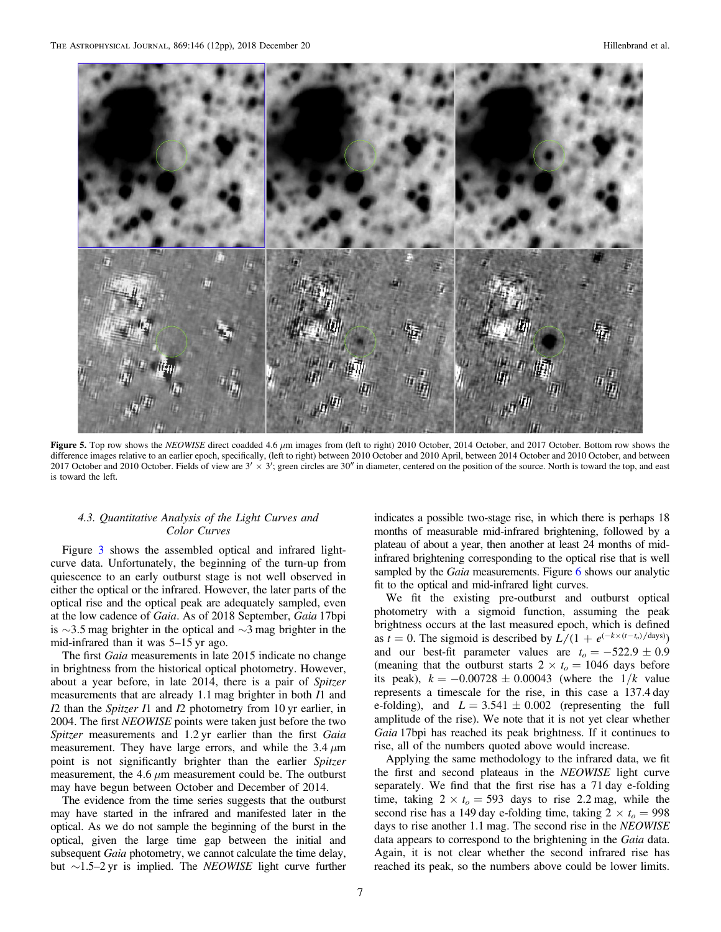<span id="page-7-0"></span>

Figure 5. Top row shows the *NEOWISE* direct coadded 4.6 μm images from (left to right) 2010 October, 2014 October, and 2017 October. Bottom row shows the difference images relative to an earlier epoch, specifically, (left to right) between 2010 October and 2010 April, between 2014 October and 2010 October, and between 2017 October and 2010 October. Fields of view are  $3' \times 3'$ ; green circles are  $30''$  in diameter, centered on the position of the source. North is toward the top, and east is toward the left.

#### *4.3. Quantitative Analysis of the Light Curves and Color Curves*

Figure [3](#page-4-0) shows the assembled optical and infrared lightcurve data. Unfortunately, the beginning of the turn-up from quiescence to an early outburst stage is not well observed in either the optical or the infrared. However, the later parts of the optical rise and the optical peak are adequately sampled, even at the low cadence of *Gaia*. As of 2018 September, *Gaia* 17bpi is ∼3.5 mag brighter in the optical and ∼3 mag brighter in the mid-infrared than it was 5–15 yr ago.

The first *Gaia* measurements in late 2015 indicate no change in brightness from the historical optical photometry. However, about a year before, in late 2014, there is a pair of *Spitzer* measurements that are already 1.1 mag brighter in both *I*1 and *I*2 than the *Spitzer I*1 and *I*2 photometry from 10 yr earlier, in 2004. The first *NEOWISE* points were taken just before the two *Spitzer* measurements and 1.2 yr earlier than the first *Gaia* measurement. They have large errors, and while the 3.4  $\mu$ m point is not significantly brighter than the earlier *Spitzer* measurement, the 4.6  $\mu$ m measurement could be. The outburst may have begun between October and December of 2014.

The evidence from the time series suggests that the outburst may have started in the infrared and manifested later in the optical. As we do not sample the beginning of the burst in the optical, given the large time gap between the initial and subsequent *Gaia* photometry, we cannot calculate the time delay, but ∼1.5–2 yr is implied. The *NEOWISE* light curve further

indicates a possible two-stage rise, in which there is perhaps 18 months of measurable mid-infrared brightening, followed by a plateau of about a year, then another at least 24 months of midinfrared brightening corresponding to the optical rise that is well sampled by the *Gaia* measurements. Figure [6](#page-8-0) shows our analytic fit to the optical and mid-infrared light curves.

We fit the existing pre-outburst and outburst optical photometry with a sigmoid function, assuming the peak brightness occurs at the last measured epoch, which is defined as  $t = 0$ . The sigmoid is described by  $L/(1 + e^{(-k \times (t - t_0)/days)})$ and our best-fit parameter values are  $t_o = -522.9 \pm 0.9$ (meaning that the outburst starts  $2 \times t_o = 1046$  days before its peak),  $k = -0.00728 \pm 0.00043$  (where the  $1/k$  value represents a timescale for the rise, in this case a 137.4 day e-folding), and  $L = 3.541 \pm 0.002$  (representing the full amplitude of the rise). We note that it is not yet clear whether *Gaia* 17bpi has reached its peak brightness. If it continues to rise, all of the numbers quoted above would increase.

Applying the same methodology to the infrared data, we fit the first and second plateaus in the *NEOWISE* light curve separately. We find that the first rise has a 71 day e-folding time, taking  $2 \times t_o = 593$  days to rise 2.2 mag, while the second rise has a 149 day e-folding time, taking  $2 \times t_o = 998$ days to rise another 1.1 mag. The second rise in the *NEOWISE* data appears to correspond to the brightening in the *Gaia* data. Again, it is not clear whether the second infrared rise has reached its peak, so the numbers above could be lower limits.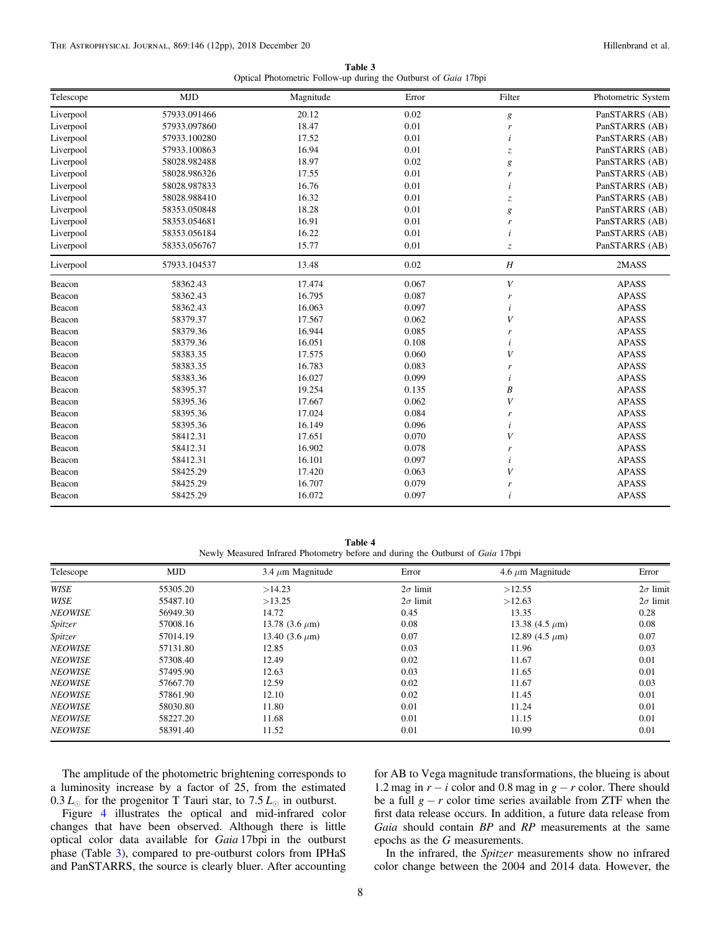| Table 3                                                         |  |  |  |  |  |
|-----------------------------------------------------------------|--|--|--|--|--|
| Optical Photometric Follow-up during the Outburst of Gaia 17bpi |  |  |  |  |  |

<span id="page-8-0"></span>

| Telescope | <b>MJD</b>   | Magnitude | Error | Filter                        | Photometric System |
|-----------|--------------|-----------|-------|-------------------------------|--------------------|
| Liverpool | 57933.091466 | 20.12     | 0.02  | $\boldsymbol{g}$              | PanSTARRS (AB)     |
| Liverpool | 57933.097860 | 18.47     | 0.01  | r                             | PanSTARRS (AB)     |
| Liverpool | 57933.100280 | 17.52     | 0.01  | i                             | PanSTARRS (AB)     |
| Liverpool | 57933.100863 | 16.94     | 0.01  | $\ensuremath{\mathnormal{Z}}$ | PanSTARRS (AB)     |
| Liverpool | 58028.982488 | 18.97     | 0.02  | $\boldsymbol{g}$              | PanSTARRS (AB)     |
| Liverpool | 58028.986326 | 17.55     | 0.01  | r                             | PanSTARRS (AB)     |
| Liverpool | 58028.987833 | 16.76     | 0.01  | i                             | PanSTARRS (AB)     |
| Liverpool | 58028.988410 | 16.32     | 0.01  | $\overline{z}$                | PanSTARRS (AB)     |
| Liverpool | 58353.050848 | 18.28     | 0.01  | $\boldsymbol{g}$              | PanSTARRS (AB)     |
| Liverpool | 58353.054681 | 16.91     | 0.01  | r                             | PanSTARRS (AB)     |
| Liverpool | 58353.056184 | 16.22     | 0.01  |                               | PanSTARRS (AB)     |
| Liverpool | 58353.056767 | 15.77     | 0.01  | $\overline{z}$                | PanSTARRS (AB)     |
| Liverpool | 57933.104537 | 13.48     | 0.02  | $\boldsymbol{H}$              | 2MASS              |
| Beacon    | 58362.43     | 17.474    | 0.067 | V                             | <b>APASS</b>       |
| Beacon    | 58362.43     | 16.795    | 0.087 | r                             | <b>APASS</b>       |
| Beacon    | 58362.43     | 16.063    | 0.097 | i                             | <b>APASS</b>       |
| Beacon    | 58379.37     | 17.567    | 0.062 | V                             | <b>APASS</b>       |
| Beacon    | 58379.36     | 16.944    | 0.085 | r                             | <b>APASS</b>       |
| Beacon    | 58379.36     | 16.051    | 0.108 | i                             | <b>APASS</b>       |
| Beacon    | 58383.35     | 17.575    | 0.060 | V                             | <b>APASS</b>       |
| Beacon    | 58383.35     | 16.783    | 0.083 | r                             | <b>APASS</b>       |
| Beacon    | 58383.36     | 16.027    | 0.099 | i                             | <b>APASS</b>       |
| Beacon    | 58395.37     | 19.254    | 0.135 | $\boldsymbol{B}$              | <b>APASS</b>       |
| Beacon    | 58395.36     | 17.667    | 0.062 | V                             | <b>APASS</b>       |
| Beacon    | 58395.36     | 17.024    | 0.084 | r                             | <b>APASS</b>       |
| Beacon    | 58395.36     | 16.149    | 0.096 | i                             | <b>APASS</b>       |
| Beacon    | 58412.31     | 17.651    | 0.070 | V                             | <b>APASS</b>       |
| Beacon    | 58412.31     | 16.902    | 0.078 | r                             | <b>APASS</b>       |
| Beacon    | 58412.31     | 16.101    | 0.097 |                               | <b>APASS</b>       |
| Beacon    | 58425.29     | 17.420    | 0.063 | V                             | <b>APASS</b>       |
| Beacon    | 58425.29     | 16.707    | 0.079 | r                             | <b>APASS</b>       |
| Beacon    | 58425.29     | 16.072    | 0.097 | i                             | <b>APASS</b>       |

Table 4 Newly Measured Infrared Photometry before and during the Outburst of *Gaia* 17bpi

| Telescope      | <b>MJD</b> | 3.4 $\mu$ m Magnitude | Error           | 4.6 $\mu$ m Magnitude | Error           |
|----------------|------------|-----------------------|-----------------|-----------------------|-----------------|
| WISE           | 55305.20   | >14.23                | $2\sigma$ limit | >12.55                | $2\sigma$ limit |
| WISE           | 55487.10   | >13.25                | $2\sigma$ limit | >12.63                | $2\sigma$ limit |
| <b>NEOWISE</b> | 56949.30   | 14.72                 | 0.45            | 13.35                 | 0.28            |
| Spitzer        | 57008.16   | 13.78 $(3.6 \mu m)$   | 0.08            | 13.38 $(4.5 \mu m)$   | 0.08            |
| Spitzer        | 57014.19   | 13.40 $(3.6 \mu m)$   | 0.07            | 12.89 (4.5 $\mu$ m)   | 0.07            |
| <b>NEOWISE</b> | 57131.80   | 12.85                 | 0.03            | 11.96                 | 0.03            |
| <b>NEOWISE</b> | 57308.40   | 12.49                 | 0.02            | 11.67                 | 0.01            |
| <b>NEOWISE</b> | 57495.90   | 12.63                 | 0.03            | 11.65                 | 0.01            |
| <b>NEOWISE</b> | 57667.70   | 12.59                 | 0.02            | 11.67                 | 0.03            |
| <b>NEOWISE</b> | 57861.90   | 12.10                 | 0.02            | 11.45                 | 0.01            |
| <b>NEOWISE</b> | 58030.80   | 11.80                 | 0.01            | 11.24                 | 0.01            |
| <b>NEOWISE</b> | 58227.20   | 11.68                 | 0.01            | 11.15                 | 0.01            |
| <b>NEOWISE</b> | 58391.40   | 11.52                 | 0.01            | 10.99                 | 0.01            |

The amplitude of the photometric brightening corresponds to a luminosity increase by a factor of 25, from the estimated  $0.3 L_{\odot}$  for the progenitor T Tauri star, to 7.5  $L_{\odot}$  in outburst.

Figure [4](#page-5-0) illustrates the optical and mid-infrared color changes that have been observed. Although there is little optical color data available for *Gaia* 17bpi in the outburst phase (Table [3](#page-7-0)), compared to pre-outburst colors from IPHaS and PanSTARRS, the source is clearly bluer. After accounting

for AB to Vega magnitude transformations, the blueing is about 1.2 mag in  $r - i$  color and 0.8 mag in  $g - r$  color. There should be a full  $g - r$  color time series available from ZTF when the first data release occurs. In addition, a future data release from *Gaia* should contain *BP* and *RP* measurements at the same epochs as the *G* measurements.

In the infrared, the *Spitzer* measurements show no infrared color change between the 2004 and 2014 data. However, the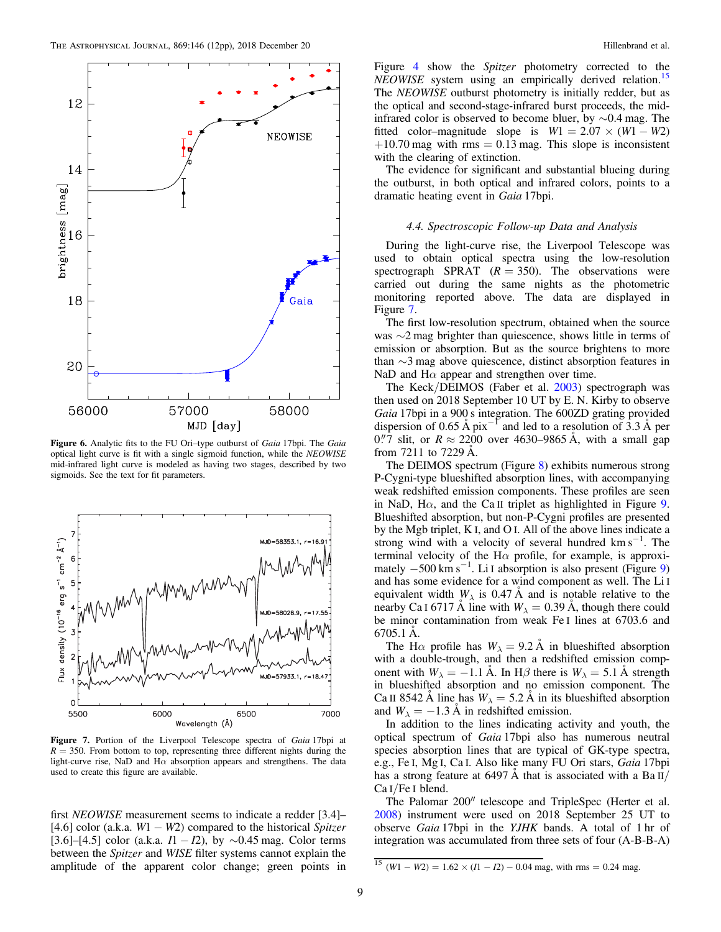<span id="page-9-0"></span>

Figure 6. Analytic fits to the FU Ori–type outburst of *Gaia* 17bpi. The *Gaia* optical light curve is fit with a single sigmoid function, while the *NEOWISE* mid-infrared light curve is modeled as having two stages, described by two sigmoids. See the text for fit parameters.



Figure 7. Portion of the Liverpool Telescope spectra of *Gaia* 17bpi at  $R = 350$ . From bottom to top, representing three different nights during the light-curve rise, NaD and H $\alpha$  absorption appears and strengthens. The data used to create this figure are available.

first *NEOWISE* measurement seems to indicate a redder [3.4]– [4.6] color (a.k.a. *W*1 − *W*2) compared to the historical *Spitzer* [3.6]–[4.5] color (a.k.a. *I*1 − *I*2), by ∼0.45 mag. Color terms between the *Spitzer* and *WISE* filter systems cannot explain the amplitude of the apparent color change; green points in

Figure [4](#page-5-0) show the *Spitzer* photometry corrected to the *NEOWISE* system using an empirically derived relation.<sup>[15](#page-8-0)</sup> The *NEOWISE* outburst photometry is initially redder, but as the optical and second-stage-infrared burst proceeds, the midinfrared color is observed to become bluer, by ∼0.4 mag. The fitted color–magnitude slope is  $W1 = 2.07 \times (W1 - W2)$  $+10.70$  mag with rms = 0.13 mag. This slope is inconsistent with the clearing of extinction.

The evidence for significant and substantial blueing during the outburst, in both optical and infrared colors, points to a dramatic heating event in *Gaia* 17bpi.

#### *4.4. Spectroscopic Follow-up Data and Analysis*

During the light-curve rise, the Liverpool Telescope was used to obtain optical spectra using the low-resolution spectrograph SPRAT  $(R = 350)$ . The observations were carried out during the same nights as the photometric monitoring reported above. The data are displayed in Figure [7.](#page-8-0)

The first low-resolution spectrum, obtained when the source was ∼2 mag brighter than quiescence, shows little in terms of emission or absorption. But as the source brightens to more than ∼3 mag above quiescence, distinct absorption features in NaD and  $H\alpha$  appear and strengthen over time.

The Keck/DEIMOS (Faber et al. [2003](#page-11-0)) spectrograph was then used on 2018 September 10 UT by E. N. Kirby to observe *Gaia* 17bpi in a 900 s integration. The 600ZD grating provided dispersion of 0.65 Å  $pi^{-1}$  and led to a resolution of 3.3 Å per  $0\rlap.{''}7$  slit, or  $R \approx 2200$  over 4630–9865 Å, with a small gap from 7211 to 7229 Å.

The DEIMOS spectrum (Figure 8) exhibits numerous strong P-Cygni-type blueshifted absorption lines, with accompanying weak redshifted emission components. These profiles are seen in NaD, H $\alpha$ , and the Ca II triplet as highlighted in Figure 9. Blueshifted absorption, but non-P-Cygni profiles are presented by the Mgb triplet, K I, and O I. All of the above lines indicate a strong wind with a velocity of several hundred  $\text{km s}^{-1}$ . The terminal velocity of the H $\alpha$  profile, for example, is approximately  $-500 \text{ km s}^{-1}$ . Li I absorption is also present (Figure 9) and has some evidence for a wind component as well. The Li I equivalent width  $W_{\lambda}$  is 0.47 Å and is notable relative to the nearby Ca I 6717 Å line with  $W_{\lambda} = 0.39$  Å, though there could be minor contamination from weak Fe I lines at 6703.6 and 6705.1 Å.

The H $\alpha$  profile has  $W_{\lambda} = 9.2 \text{ Å}$  in blueshifted absorption with a double-trough, and then a redshifted emission component with  $W_{\lambda} = -1.1$  Å. In H $\beta$  there is  $W_{\lambda} = 5.1$  Å strength in blueshifted absorption and no emission component. The Ca II 8542 Å line has  $W_{\lambda} = 5.2$  Å in its blueshifted absorption and  $W_{\lambda} = -1.3 \text{ Å}$  in redshifted emission.

In addition to the lines indicating activity and youth, the optical spectrum of *Gaia* 17bpi also has numerous neutral species absorption lines that are typical of GK-type spectra, e.g., Fe I, Mg I, Ca I. Also like many FU Ori stars, *Gaia* 17bpi has a strong feature at 6497 Å that is associated with a Ba II/ Ca I/Fe I blend.

The Palomar 200″ telescope and TripleSpec (Herter et al. [2008](#page-11-0)) instrument were used on 2018 September 25 UT to observe *Gaia* 17bpi in the *YJHK* bands. A total of 1 hr of integration was accumulated from three sets of four (A-B-B-A)

 $\frac{15}{15}$  (*W*1 − *W*2) = 1.62 × (*I*1 − *I*2) − 0.04 mag, with rms = 0.24 mag.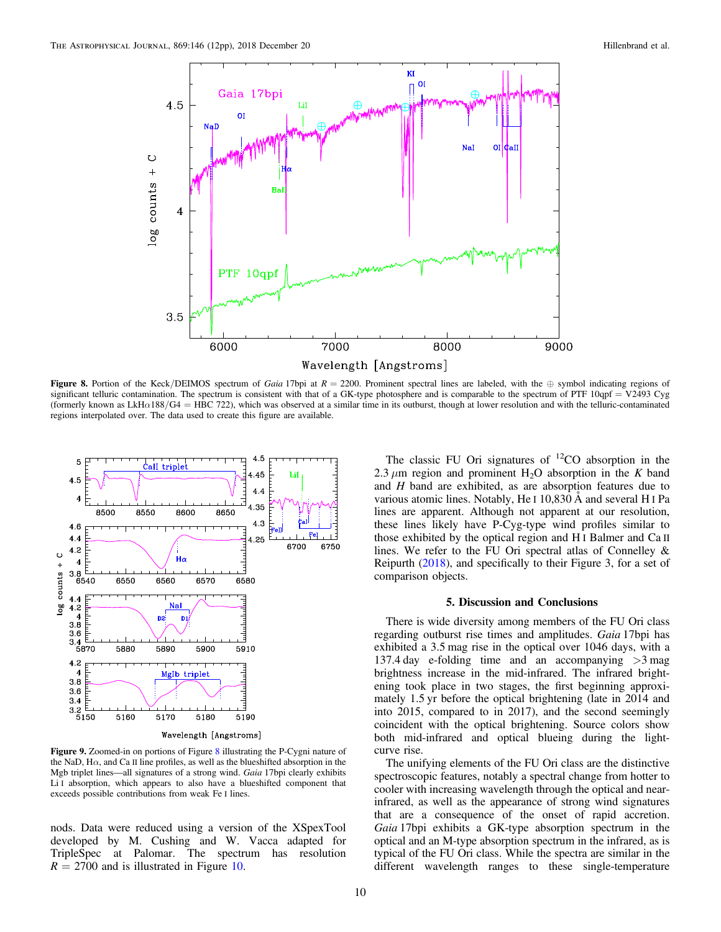

Figure 8. Portion of the Keck/DEIMOS spectrum of *Gaia* 17bpi at  $R = 2200$ . Prominent spectral lines are labeled, with the  $\oplus$  symbol indicating regions of significant telluric contamination. The spectrum is consistent with that of a GK-type photosphere and is comparable to the spectrum of PTF  $10qpf = V2493$  Cyg (formerly known as LkH $\alpha$ 188/G4 = HBC 722), which was observed at a similar time in its outburst, though at lower resolution and with the telluric-contaminated regions interpolated over. The data used to create this figure are available.



Figure 9. Zoomed-in on portions of Figure [8](#page-9-0) illustrating the P-Cygni nature of the NaD,  $H\alpha$ , and Ca II line profiles, as well as the blueshifted absorption in the Mgb triplet lines—all signatures of a strong wind. *Gaia* 17bpi clearly exhibits Li I absorption, which appears to also have a blueshifted component that exceeds possible contributions from weak Fe I lines.

nods. Data were reduced using a version of the XSpexTool developed by M. Cushing and W. Vacca adapted for TripleSpec at Palomar. The spectrum has resolution  $R = 2700$  and is illustrated in Figure 10.

The classic FU Ori signatures of  ${}^{12}CO$  absorption in the 2.3  $\mu$ m region and prominent H<sub>2</sub>O absorption in the *K* band and *H* band are exhibited, as are absorption features due to various atomic lines. Notably, He I 10,830 Å and several H I Pa lines are apparent. Although not apparent at our resolution, these lines likely have P-Cyg-type wind profiles similar to those exhibited by the optical region and H I Balmer and Ca II lines. We refer to the FU Ori spectral atlas of Connelley & Reipurth ([2018](#page-11-0)), and specifically to their Figure 3, for a set of comparison objects.

#### 5. Discussion and Conclusions

There is wide diversity among members of the FU Ori class regarding outburst rise times and amplitudes. *Gaia* 17bpi has exhibited a 3.5 mag rise in the optical over 1046 days, with a 137.4 day e-folding time and an accompanying >3 mag brightness increase in the mid-infrared. The infrared brightening took place in two stages, the first beginning approximately 1.5 yr before the optical brightening (late in 2014 and into 2015, compared to in 2017), and the second seemingly coincident with the optical brightening. Source colors show both mid-infrared and optical blueing during the lightcurve rise.

The unifying elements of the FU Ori class are the distinctive spectroscopic features, notably a spectral change from hotter to cooler with increasing wavelength through the optical and nearinfrared, as well as the appearance of strong wind signatures that are a consequence of the onset of rapid accretion. *Gaia* 17bpi exhibits a GK-type absorption spectrum in the optical and an M-type absorption spectrum in the infrared, as is typical of the FU Ori class. While the spectra are similar in the different wavelength ranges to these single-temperature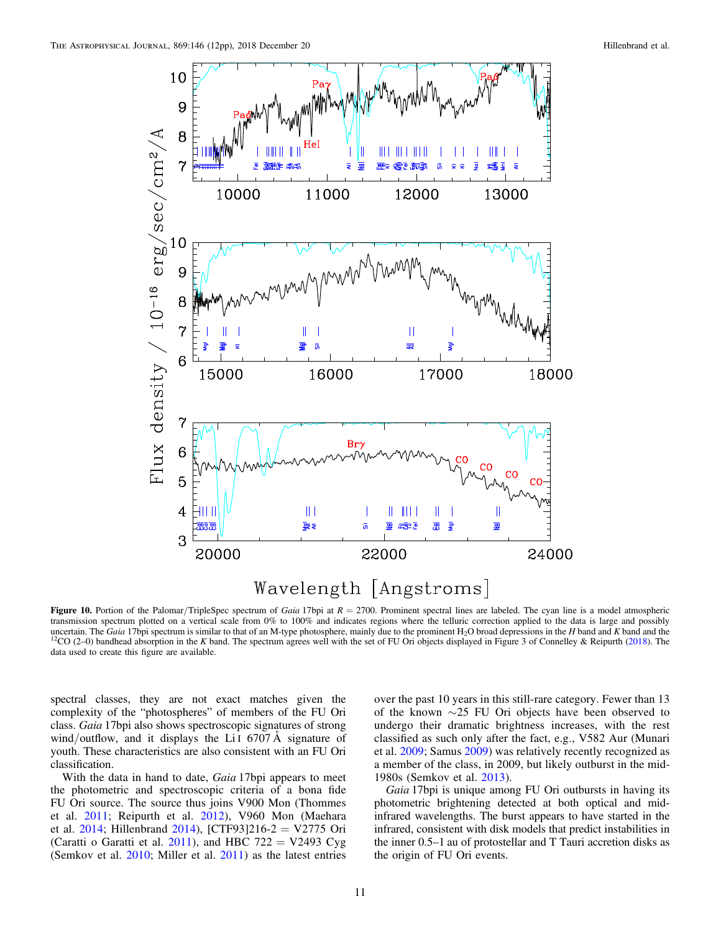<span id="page-11-0"></span>

Figure 10. Portion of the Palomar/TripleSpec spectrum of *Gaia* 17bpi at  $R = 2700$ . Prominent spectral lines are labeled. The cyan line is a model atmospheric transmission spectrum plotted on a vertical scale from 0% to 100% and indicates regions where the telluric correction applied to the data is large and possibly uncertain. The *Gaia* 17bpi spectrum is similar to that of an M-type photosphere, mainly due to the prominent H<sub>2</sub>O broad depressions in the *H* band and *K* band and the <sup>12</sup>CO (2–0) bandhead absorption in the *K* band. The spectrum agrees well with the set of FU Ori objects displayed in Figure 3 of Connelley & Reipurth (2018). The data used to create this figure are available.

spectral classes, they are not exact matches given the complexity of the "photospheres" of members of the FU Ori class. *Gaia* 17bpi also shows spectroscopic signatures of strong wind/outflow, and it displays the Li<sub>I</sub> 6707 A signature of youth. These characteristics are also consistent with an FU Ori classification.

With the data in hand to date, *Gaia* 17bpi appears to meet the photometric and spectroscopic criteria of a bona fide FU Ori source. The source thus joins V900 Mon (Thommes et al. 2011; Reipurth et al. 2012), V960 Mon (Maehara et al. 2014; Hillenbrand 2014), [CTF93]216-2 = V2775 Ori (Caratti o Garatti et al. 2011), and HBC 722 = V2493 Cyg (Semkov et al. 2010; Miller et al. 2011) as the latest entries

over the past 10 years in this still-rare category. Fewer than 13 of the known ∼25 FU Ori objects have been observed to undergo their dramatic brightness increases, with the rest classified as such only after the fact, e.g., V582 Aur (Munari et al. 2009; Samus 2009) was relatively recently recognized as a member of the class, in 2009, but likely outburst in the mid-1980s (Semkov et al. 2013).

*Gaia* 17bpi is unique among FU Ori outbursts in having its photometric brightening detected at both optical and midinfrared wavelengths. The burst appears to have started in the infrared, consistent with disk models that predict instabilities in the inner 0.5–1 au of protostellar and T Tauri accretion disks as the origin of FU Ori events.